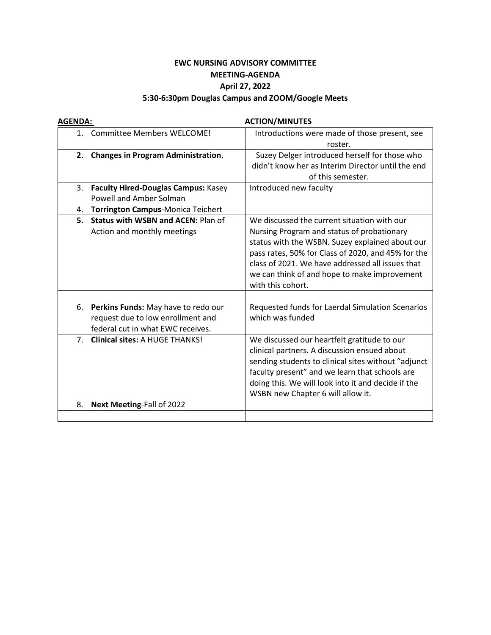## **EWC NURSING ADVISORY COMMITTEE MEETING-AGENDA April 27, 2022**

## **5:30-6:30pm Douglas Campus and ZOOM/Google Meets**

| <b>AGENDA:</b> |                                            | <b>ACTION/MINUTES</b>                               |  |  |
|----------------|--------------------------------------------|-----------------------------------------------------|--|--|
|                | 1. Committee Members WELCOME!              | Introductions were made of those present, see       |  |  |
|                |                                            | roster.                                             |  |  |
|                | 2. Changes in Program Administration.      | Suzey Delger introduced herself for those who       |  |  |
|                |                                            | didn't know her as Interim Director until the end   |  |  |
|                |                                            | of this semester.                                   |  |  |
| 3.             | <b>Faculty Hired-Douglas Campus: Kasey</b> | Introduced new faculty                              |  |  |
|                | <b>Powell and Amber Solman</b>             |                                                     |  |  |
| 4.             | Torrington Campus-Monica Teichert          |                                                     |  |  |
| 5.             | <b>Status with WSBN and ACEN: Plan of</b>  | We discussed the current situation with our         |  |  |
|                | Action and monthly meetings                | Nursing Program and status of probationary          |  |  |
|                |                                            | status with the WSBN. Suzey explained about our     |  |  |
|                |                                            | pass rates, 50% for Class of 2020, and 45% for the  |  |  |
|                |                                            | class of 2021. We have addressed all issues that    |  |  |
|                |                                            | we can think of and hope to make improvement        |  |  |
|                |                                            | with this cohort.                                   |  |  |
|                |                                            |                                                     |  |  |
| 6.             | Perkins Funds: May have to redo our        | Requested funds for Laerdal Simulation Scenarios    |  |  |
|                | request due to low enrollment and          | which was funded                                    |  |  |
|                | federal cut in what EWC receives.          |                                                     |  |  |
| 7 <sup>1</sup> | <b>Clinical sites: A HUGE THANKS!</b>      | We discussed our heartfelt gratitude to our         |  |  |
|                |                                            | clinical partners. A discussion ensued about        |  |  |
|                |                                            | sending students to clinical sites without "adjunct |  |  |
|                |                                            | faculty present" and we learn that schools are      |  |  |
|                |                                            | doing this. We will look into it and decide if the  |  |  |
|                |                                            | WSBN new Chapter 6 will allow it.                   |  |  |
| 8.             | Next Meeting-Fall of 2022                  |                                                     |  |  |
|                |                                            |                                                     |  |  |